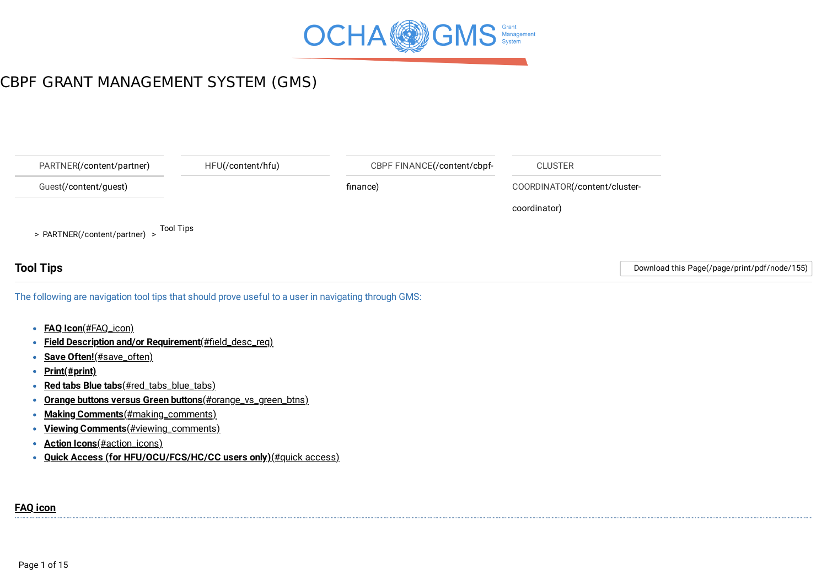

<span id="page-0-0"></span>

| PARTNER(/content/partner)                                                                            | HFU(/content/hfu) | CBPF FINANCE(/content/cbpf- | <b>CLUSTER</b>                |                                              |
|------------------------------------------------------------------------------------------------------|-------------------|-----------------------------|-------------------------------|----------------------------------------------|
| Guest(/content/guest)                                                                                |                   | finance)                    | COORDINATOR(/content/cluster- |                                              |
|                                                                                                      |                   |                             | coordinator)                  |                                              |
| > PARTNER(/content/partner) >                                                                        | <b>Tool Tips</b>  |                             |                               |                                              |
| <b>Tool Tips</b>                                                                                     |                   |                             |                               | Download this Page(/page/print/pdf/node/155) |
| The following are navigation tool tips that should prove useful to a user in navigating through GMS: |                   |                             |                               |                                              |
| <b>FAQ Icon</b> (#FAQ_icon)                                                                          |                   |                             |                               |                                              |

- **Field Description and/or Requirement**[\(#field\\_desc\\_req\)](#page-2-0)
- **Save Often!**[\(#save\\_often\)](#page-5-0)  $\bullet$
- **[Print\(#print\)](#page-5-1)**  $\bullet$
- **Red tabs Blue tabs**[\(#red\\_tabs\\_blue\\_tabs\)](#page-6-0)  $\bullet$
- **Orange buttons versus Green buttons**[\(#orange\\_vs\\_green\\_btns\)](#page-6-1)  $\bullet$
- **Making Comments**[\(#making\\_comments\)](#page-7-0)  $\bullet$
- **Viewing Comments**[\(#viewing\\_comments\)](#page-10-0)
- **Action Icons**[\(#action\\_icons\)](#page-12-0)
- <span id="page-0-1"></span>**Quick Access (for [HFU/OCU/FCS/HC/CC](#page-13-0) users only)**(#quick access)

#### **FAQ [icon](#page-0-0)**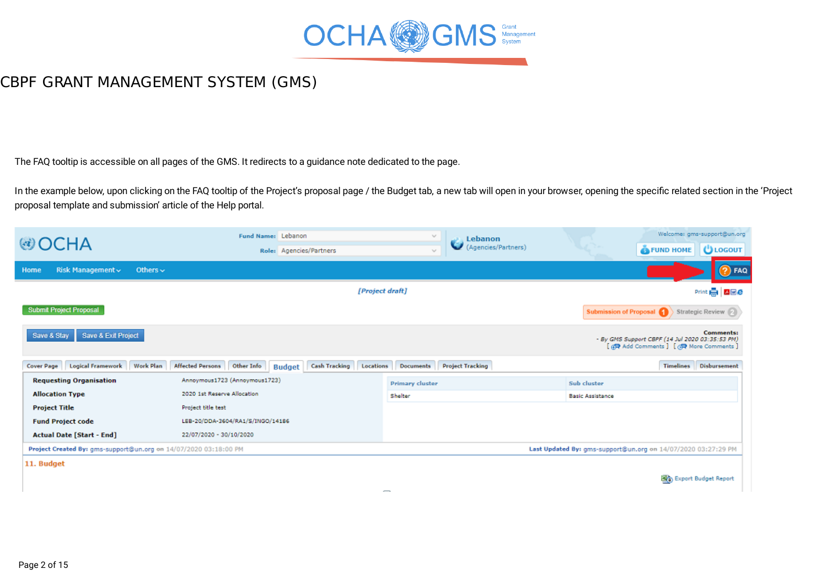

The FAQ tooltip is accessible on all pages of the GMS. It redirects to a guidance note dedicated to the page.

In the example below, upon clicking on the FAQ tooltip of the Project's proposal page / the Budget tab, a new tab will open in your browser, opening the specific related section in the 'Project proposal template and submission' article of the Help portal.

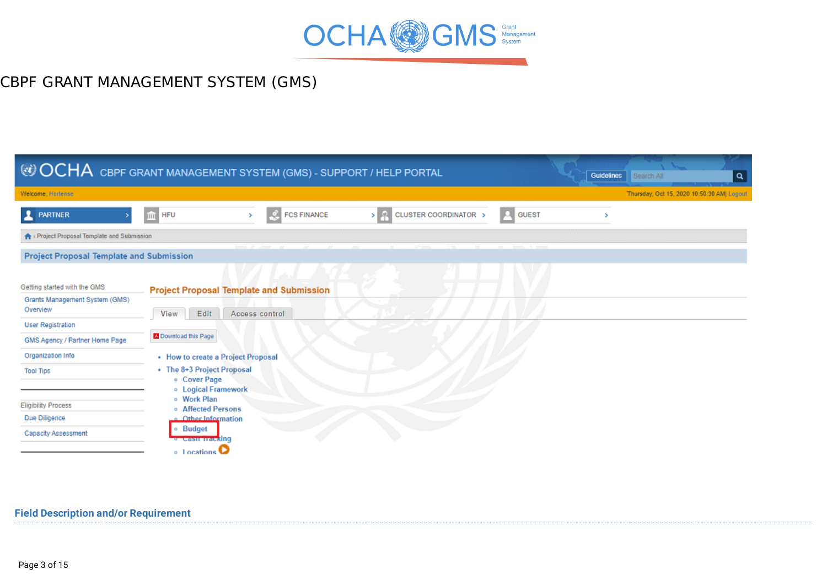

|                                                                            | © OCHA CBPF GRANT MANAGEMENT SYSTEM (GMS) - SUPPORT / HELP PORTAL                                                 | <b>Guidelines</b><br>Search All<br>∣ م     |
|----------------------------------------------------------------------------|-------------------------------------------------------------------------------------------------------------------|--------------------------------------------|
| Welcome, Hortense                                                          |                                                                                                                   | Thursday, Oct 15, 2020 10:50:30 AM  Logout |
| <b>RARTNER</b>                                                             | CLUSTER COORDINATOR ><br><b>GUEST</b><br><b>FCS FINANCE</b><br><b>HFU</b><br>> 2 I<br>Fа<br>TITT<br>$\rightarrow$ |                                            |
| > Project Proposal Template and Submission                                 |                                                                                                                   |                                            |
| <b>Project Proposal Template and Submission</b>                            |                                                                                                                   |                                            |
|                                                                            |                                                                                                                   |                                            |
| Getting started with the GMS<br>Grants Management System (GMS)<br>Overview | <b>Project Proposal Template and Submission</b><br>Edit<br>Access control<br>View                                 |                                            |
| <b>User Registration</b>                                                   |                                                                                                                   |                                            |
| GMS Agency / Partner Home Page                                             | Download this Page                                                                                                |                                            |
| Organization Info                                                          | • How to create a Project Proposal                                                                                |                                            |
| <b>Tool Tips</b>                                                           | • The 8+3 Project Proposal<br>o Cover Page<br><b>.</b> Logical Framework                                          |                                            |
| <b>Eligibility Process</b>                                                 | o Work Plan<br>o Affected Persons                                                                                 |                                            |
| Due Diligence                                                              | o Other Information                                                                                               |                                            |
| Capacity Assessment                                                        | · Budget<br><b><i><del>• Cash Hacking</del></i></b>                                                               |                                            |
|                                                                            | $\circ$ 1 ocations                                                                                                |                                            |

#### <span id="page-2-0"></span>**Field Description and/or [Requirement](#page-0-0)**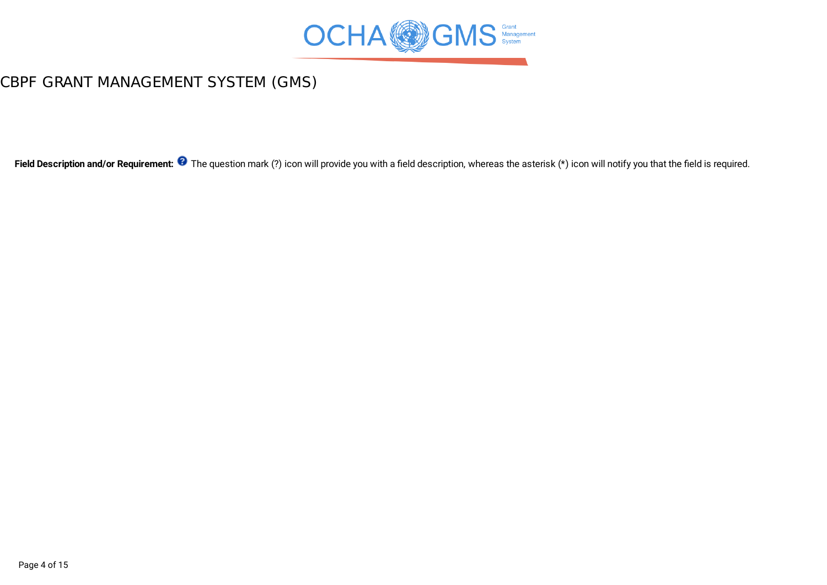

Field Description and/or Requirement: <sup>3</sup> The question mark (?) icon will provide you with a field description, whereas the asterisk (\*) icon will notify you that the field is required.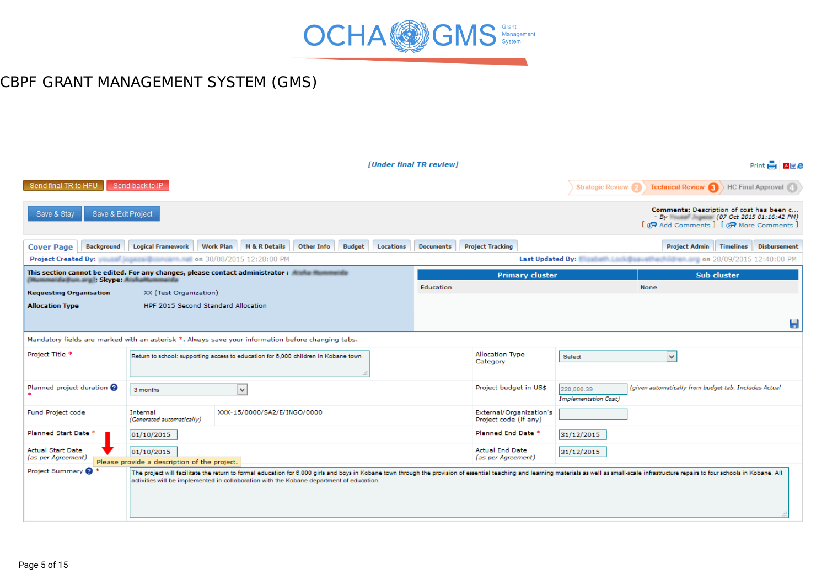

|                                                                                                                                   |                                                            |                                                                                          |                             |                  | [Under final TR review] |                                                                                                                                                                                                                                |                                           |                                                                            | Print <b>H A M C</b>                                                                                                                                     |
|-----------------------------------------------------------------------------------------------------------------------------------|------------------------------------------------------------|------------------------------------------------------------------------------------------|-----------------------------|------------------|-------------------------|--------------------------------------------------------------------------------------------------------------------------------------------------------------------------------------------------------------------------------|-------------------------------------------|----------------------------------------------------------------------------|----------------------------------------------------------------------------------------------------------------------------------------------------------|
| Send final TR to HFU                                                                                                              | Send back to IP                                            |                                                                                          |                             |                  |                         |                                                                                                                                                                                                                                | <b>Strategic Review</b>                   |                                                                            | Technical Review 3 HC Final Approval                                                                                                                     |
| Save & Stay<br>Save & Exit Project                                                                                                |                                                            |                                                                                          |                             |                  |                         |                                                                                                                                                                                                                                |                                           |                                                                            | Comments: Description of cost has been c<br>- By Wasser Jugaces (07 Oct 2015 01:16:42 PM)<br>[ $\bigoplus$ Add Comments ] [ $\bigotimes$ More Comments ] |
| Background<br><b>Cover Page</b>                                                                                                   | <b>Logical Framework</b>                                   | Work Plan   M & R Details                                                                | Other Info<br><b>Budget</b> | <b>Locations</b> | <b>Documents</b>        | <b>Project Tracking</b>                                                                                                                                                                                                        |                                           | <b>Project Admin</b> Timelines                                             | <b>Disbursement</b>                                                                                                                                      |
| <b>Project Created By:</b>                                                                                                        | <b>Marine Communication 30/08/2015 12:28:00 PM</b>         |                                                                                          |                             |                  |                         |                                                                                                                                                                                                                                |                                           | Last Updated By: We will be a state of the state on 28/09/2015 12:40:00 PM |                                                                                                                                                          |
| This section cannot be edited. For any changes, please contact administrator : and a summary of<br>mmaida@un.arg  ; Skype: Aishah |                                                            |                                                                                          |                             |                  |                         | <b>Primary cluster</b>                                                                                                                                                                                                         |                                           |                                                                            | <b>Sub cluster</b>                                                                                                                                       |
| <b>Requesting Organisation</b>                                                                                                    | XX (Test Organization)                                     |                                                                                          |                             |                  | Education               |                                                                                                                                                                                                                                |                                           | None                                                                       |                                                                                                                                                          |
| <b>Allocation Type</b>                                                                                                            | HPF 2015 Second Standard Allocation                        |                                                                                          |                             |                  |                         |                                                                                                                                                                                                                                |                                           |                                                                            |                                                                                                                                                          |
|                                                                                                                                   |                                                            |                                                                                          |                             |                  |                         |                                                                                                                                                                                                                                |                                           |                                                                            | Ы                                                                                                                                                        |
| Mandatory fields are marked with an asterisk *. Always save your information before changing tabs.                                |                                                            |                                                                                          |                             |                  |                         |                                                                                                                                                                                                                                |                                           |                                                                            |                                                                                                                                                          |
| Project Title *                                                                                                                   |                                                            | Return to school: supporting access to education for 6,000 children in Kobane town       |                             |                  |                         | Allocation Type<br>Category                                                                                                                                                                                                    | Select                                    | $\checkmark$                                                               |                                                                                                                                                          |
| Planned project duration $\boldsymbol{\Omega}$                                                                                    | 3 months                                                   | $\checkmark$                                                                             |                             |                  |                         | Project budget in US\$                                                                                                                                                                                                         | 220,000.39<br><b>Implementation Cost)</b> | (given automatically from budget tab. Includes Actual                      |                                                                                                                                                          |
| Fund Project code                                                                                                                 | Internal<br>(Generated automatically)                      | XXX-15/0000/SA2/E/INGO/0000                                                              |                             |                  |                         | External/Organization's<br>Project code (if any)                                                                                                                                                                               |                                           |                                                                            |                                                                                                                                                          |
| Planned Start Date <sup>*</sup>                                                                                                   | 01/10/2015                                                 |                                                                                          |                             |                  |                         | Planned End Date *                                                                                                                                                                                                             | 31/12/2015                                |                                                                            |                                                                                                                                                          |
| <b>Actual Start Date</b><br>(as per Agreement)                                                                                    | 01/10/2015<br>Please provide a description of the project. |                                                                                          |                             |                  |                         | <b>Actual End Date</b><br>(as per Agreement)                                                                                                                                                                                   | 31/12/2015                                |                                                                            |                                                                                                                                                          |
| Project Summary                                                                                                                   |                                                            | activities will be implemented in collaboration with the Kobane department of education. |                             |                  |                         | The project will facilitate the return to formal education for 6,000 girls and boys in Kobane town through the provision of essential teaching and learning materials as well as small-scale infrastructure repairs to four sc |                                           |                                                                            |                                                                                                                                                          |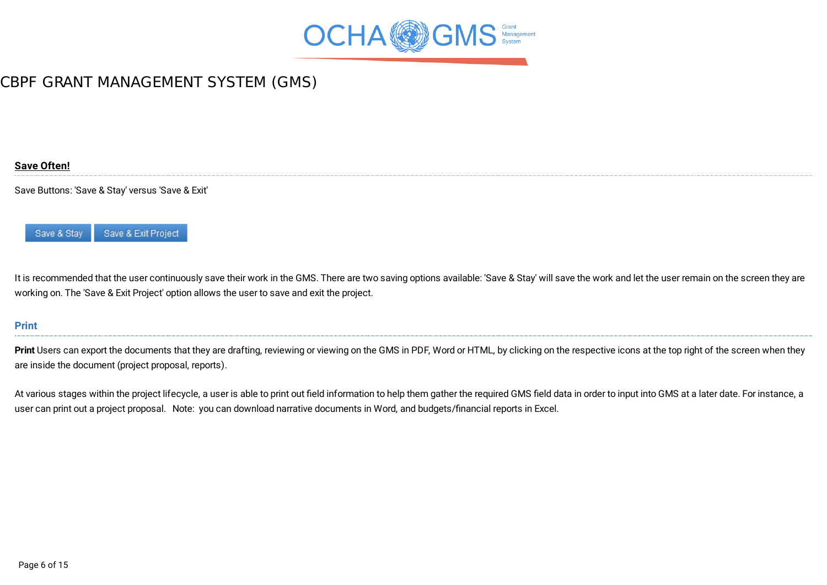

#### <span id="page-5-0"></span>**Save [Often!](#page-0-0)**

Save Buttons: 'Save & Stay' versus 'Save & Exit'



It is recommended that the user continuously save their work in the GMS. There are two saving options available: 'Save & Stay' will save the work and let the user remain on the screen they are working on. The 'Save & Exit Project' option allows the user to save and exit the project.

#### <span id="page-5-1"></span>**[Print](#page-0-0)**

Print Users can export the documents that they are drafting, reviewing or viewing on the GMS in PDF, Word or HTML, by clicking on the respective icons at the top right of the screen when they are inside the document (project proposal, reports).

At various stages within the project lifecycle, a user is able to print out field information to help them gather the required GMS field data in order to input into GMS at a later date. For instance, a user can print out a project proposal. Note: you can download narrative documents in Word, and budgets/financial reports in Excel.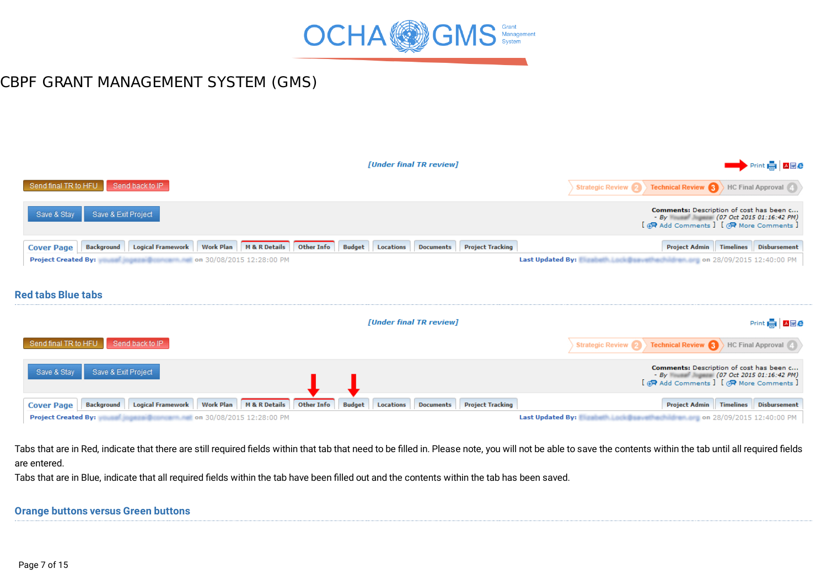

<span id="page-6-0"></span>

|                                                                                                               | [Under final TR review]                                                   | Print <b>REA</b> AME                                                                                                                                     |
|---------------------------------------------------------------------------------------------------------------|---------------------------------------------------------------------------|----------------------------------------------------------------------------------------------------------------------------------------------------------|
| Send final TR to HFU<br>Send back to IP                                                                       |                                                                           | Technical Review 3 HC Final Approval<br>Strategic Review 2                                                                                               |
| Save & Exit Project<br>Save & Stay                                                                            |                                                                           | Comments: Description of cost has been c<br>- By William Milliam (07 Oct 2015 01:16:42 PM)<br>[ <b>伊</b> Add Comments ] [ <b>伊</b> More Comments ]       |
| Work Plan   M & R Details<br>Other Info<br><b>Logical Framework</b><br><b>Background</b><br><b>Cover Page</b> | <b>Budget</b><br>Locations<br><b>Project Tracking</b><br><b>Documents</b> | <b>Project Admin</b>   Timelines   Disbursement                                                                                                          |
| <b>Project Created By:</b><br><b>And imperial Broadcast Author</b> 0n 30/08/2015 12:28:00 PM                  |                                                                           | Last Updated By: [3] and 28/09/2015 12:40:00 PM                                                                                                          |
|                                                                                                               |                                                                           |                                                                                                                                                          |
| <b>Red tabs Blue tabs</b>                                                                                     |                                                                           |                                                                                                                                                          |
|                                                                                                               |                                                                           |                                                                                                                                                          |
|                                                                                                               | [Under final TR review]                                                   | Print <b>H</b> Awe                                                                                                                                       |
| Send final TR to HFU<br>Send back to IP                                                                       |                                                                           | Technical Review 3 HC Final Approval<br><b>Strategic Review 2</b>                                                                                        |
| Save & Exit Project<br>Save & Stay                                                                            |                                                                           | Comments: Description of cost has been c<br>- By Wasser Magnese (07 Oct 2015 01:16:42 PM)<br>[ $\bigoplus$ Add Comments ] [ $\bigotimes$ More Comments ] |

Project Created By: Washington 20/08/2015 12:28:00 PM

Last Updated By: National Last Data with a 19th and pon 28/09/2015 12:40:00 PM

Tabs that are in Red, indicate that there are still required fields within that tab that need to be filled in. Please note, you will not be able to save the contents within the tab until all required fields are entered.

Tabs that are in Blue, indicate that all required fields within the tab have been filled out and the contents within the tab has been saved.

#### <span id="page-6-1"></span>**Orange buttons versus Green [buttons](#page-0-0)**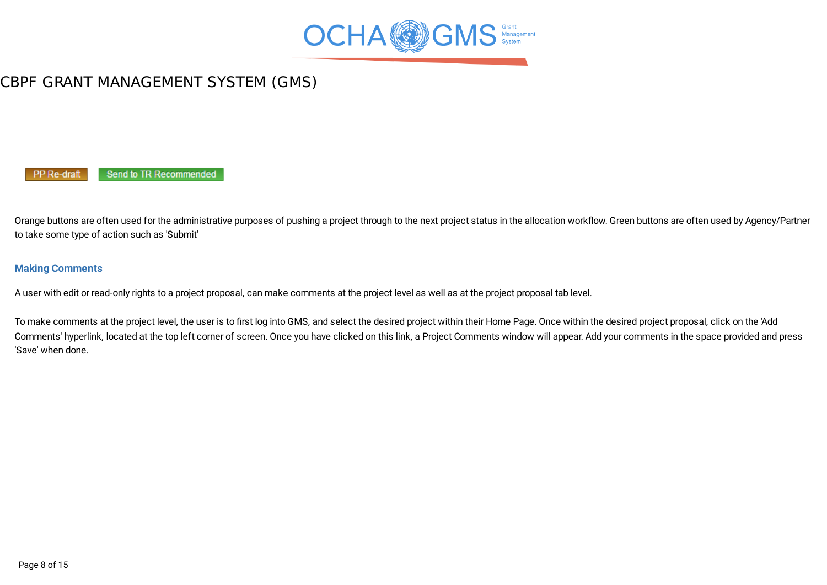

PP Re-draft Send to TR Recommended

Orange buttons are often used for the administrative purposes of pushing a project through to the next project status in the allocation workflow. Green buttons are often used by Agency/Partner to take some type of action such as 'Submit'

#### <span id="page-7-0"></span>**Making [Comments](#page-0-0)**

A user with edit or read-only rights to a project proposal, can make comments at the project level as well as at the project proposal tab level.

To make comments at the project level, the user is to first log into GMS, and select the desired project within their Home Page. Once within the desired project proposal, click on the 'Add Comments' hyperlink, located at the top left corner of screen. Once you have clicked on this link, a Project Comments window will appear. Add your comments in the space provided and press 'Save' when done.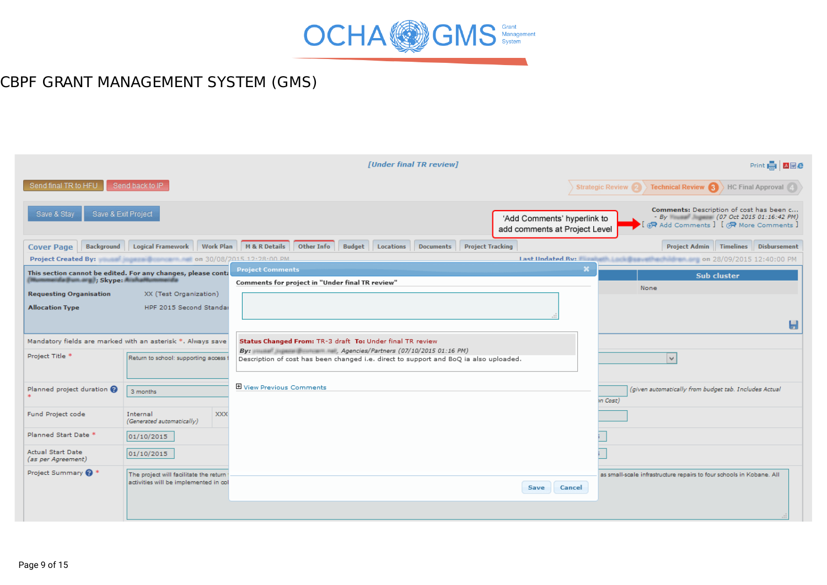

|                                                                    |                                                                                        |                                                                                                                                          | [Under final TR review] |                                                              | Print <b>A A A</b>                                                                                                            |
|--------------------------------------------------------------------|----------------------------------------------------------------------------------------|------------------------------------------------------------------------------------------------------------------------------------------|-------------------------|--------------------------------------------------------------|-------------------------------------------------------------------------------------------------------------------------------|
| Send final TR to HFU                                               | Send back to IP                                                                        |                                                                                                                                          |                         |                                                              | <b>Technical Review (3)</b> HC Final Approval (4)<br><b>Strategic Review <math>\Omega</math></b>                              |
| Save & Exit Project<br>Save & Stav                                 |                                                                                        |                                                                                                                                          |                         | 'Add Comments' hyperlink to<br>add comments at Project Level | Comments: Description of cost has been c<br>- By Wasser (07 Oct 2015 01:16:42 PM)<br>I (R Add Comments I I (R More Comments I |
| <b>Cover Page</b>                                                  |                                                                                        | Background Logical Framework Work Plan M & R Details Other Info Budget Locations Documents                                               |                         | <b>Project Tracking</b>                                      | Project Admin   Timelines   Disbursement                                                                                      |
|                                                                    | Project Created By: We are a series and the series on 30/08/2015 12:28:00 PM           |                                                                                                                                          |                         |                                                              | Last Undated By: New York (2018) 28/09/2015 12:40:00 PM                                                                       |
| Mummarida@um.arg); Skype: ArahaM<br><b>Requesting Organisation</b> | This section cannot be edited. For any changes, please conta<br>XX (Test Organization) | <b>Project Comments</b><br>Comments for project in "Under final TR review"                                                               |                         |                                                              | $\boldsymbol{\times}$<br><b>Sub cluster</b><br>None                                                                           |
| <b>Allocation Type</b>                                             | HPF 2015 Second Standar                                                                |                                                                                                                                          |                         |                                                              | Ы                                                                                                                             |
|                                                                    | Mandatory fields are marked with an asterisk *. Always save                            | Status Changed From: TR-3 draft To: Under final TR review<br>By: www.suppose.gov.com/mail: inti, Agencies/Partners (07/10/2015 01:16 PM) |                         |                                                              |                                                                                                                               |
| Project Title *                                                    | Return to school: supporting access                                                    | Description of cost has been changed i.e. direct to support and BoQ ia also uploaded.                                                    |                         |                                                              | $\vee$                                                                                                                        |
| Planned project duration                                           | 3 months                                                                               | 田 View Previous Comments                                                                                                                 |                         |                                                              | (given automatically from budget tab. Includes Actual<br><i>in</i> Cost)                                                      |
| Fund Project code                                                  | <b>XXX</b><br>Internal<br>(Generated automatically)                                    |                                                                                                                                          |                         |                                                              |                                                                                                                               |
| Planned Start Date *                                               | 01/10/2015                                                                             |                                                                                                                                          |                         |                                                              |                                                                                                                               |
| <b>Actual Start Date</b><br>(as per Agreement)                     | 01/10/2015                                                                             |                                                                                                                                          |                         |                                                              |                                                                                                                               |
| Project Summary @ *                                                | The project will facilitate the return<br>activities will be implemented in col        |                                                                                                                                          |                         | Cancel<br>Save                                               | as small-scale infrastructure repairs to four schools in Kobane. All                                                          |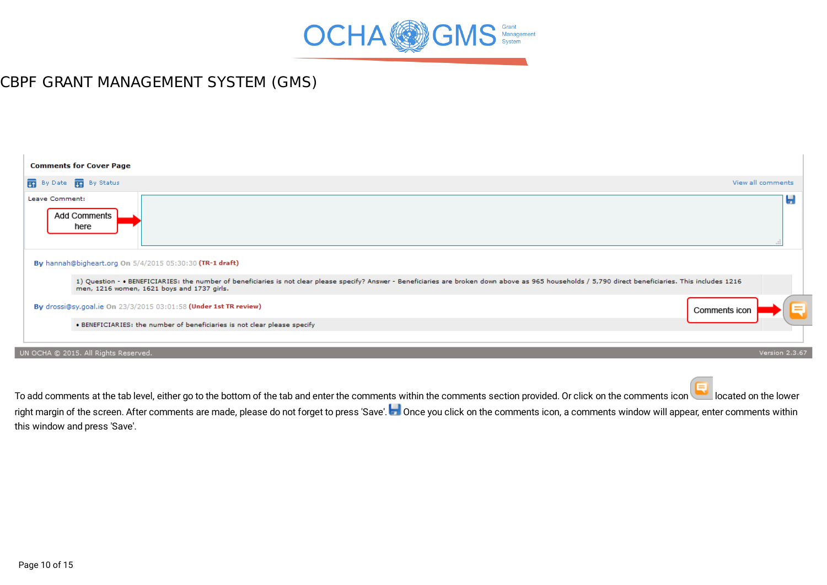

| <b>Comments for Cover Page</b>                                                                                                                                                                                                                        |                   |   |
|-------------------------------------------------------------------------------------------------------------------------------------------------------------------------------------------------------------------------------------------------------|-------------------|---|
| By Date <b>in</b> By Status                                                                                                                                                                                                                           | View all comments |   |
| Leave Comment:<br><b>Add Comments</b><br>here                                                                                                                                                                                                         |                   | Ы |
| By hannah@bigheart.org On 5/4/2015 05:30:30 (TR-1 draft)                                                                                                                                                                                              |                   |   |
| 1) Question - . BENEFICIARIES: the number of beneficiaries is not clear please specify? Answer - Beneficiaries are broken down above as 965 households / 5,790 direct beneficiaries. This includes 1216<br>men, 1216 women, 1621 boys and 1737 girls. |                   |   |
| By drossi@sy.goal.ie On 23/3/2015 03:01:58 (Under 1st TR review)                                                                                                                                                                                      | Comments icon     |   |
| . BENEFICIARIES: the number of beneficiaries is not clear please specify                                                                                                                                                                              |                   |   |
| UN OCHA @ 2015. All Rights Reserved.                                                                                                                                                                                                                  | Version 2.3.67    |   |
|                                                                                                                                                                                                                                                       |                   |   |

To add comments at the tab level, either go to the bottom of the tab and enter the comments within the comments section provided. Or click on the comments icon located on the lower right margin of the screen. After comments are made, please do not forget to press 'Save'. Once you click on the comments icon, a comments window will appear, enter comments within this window and press 'Save'.

ı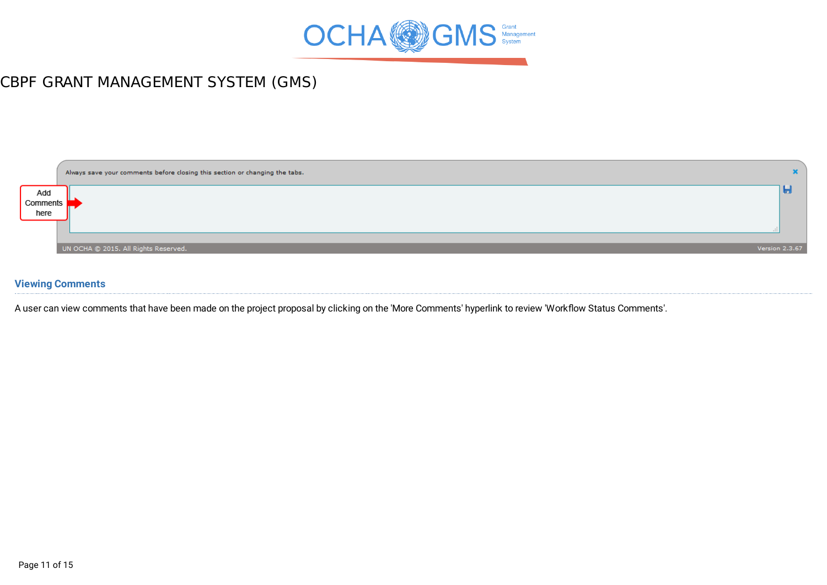



#### <span id="page-10-0"></span>**Viewing [Comments](#page-0-0)**

A user can view comments that have been made on the project proposal by clicking on the 'More Comments' hyperlink to review 'Workflow Status Comments'.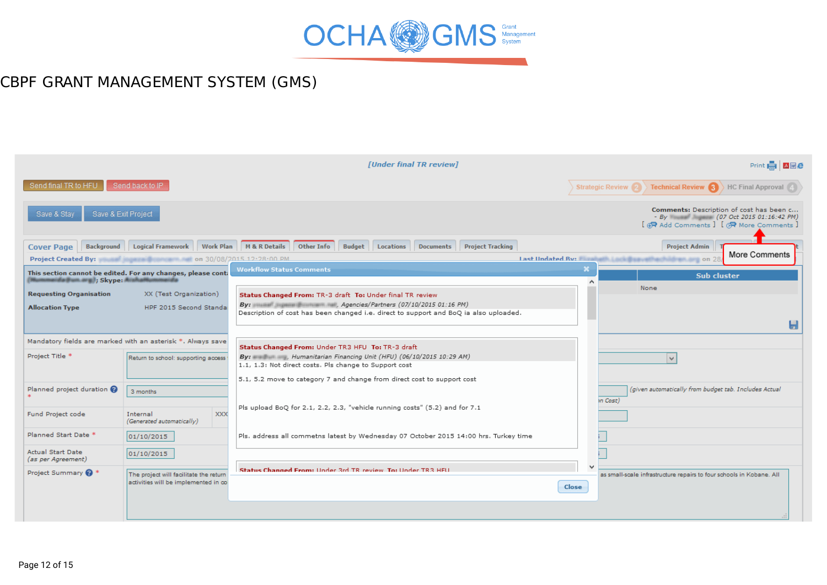

|                                    |                                                               | [Under final TR review]                                                                                                                                             | Print <b>A Z</b> Z <b>Z</b>                                                                                                                       |
|------------------------------------|---------------------------------------------------------------|---------------------------------------------------------------------------------------------------------------------------------------------------------------------|---------------------------------------------------------------------------------------------------------------------------------------------------|
| Send final TR to HFU               | Send back to IP                                               |                                                                                                                                                                     | <b>Technical Review <math>\left  \cdot \right </math></b> HC Final Approval $\left  \cdot \right $<br>Strategic Review 2                          |
| Save & Stay                        | Save & Exit Project                                           |                                                                                                                                                                     | Comments: Description of cost has been c<br>- By Winners (07 Oct 2015 01:16:42 PM)<br>[ $\bigoplus$ Add Comments ] [ $\bigotimes$ More Comments ] |
| <b>Cover Page</b>                  |                                                               | Background Logical Framework Work Plan M&R Details Other Info Budget Locations Documents<br><b>Project Tracking</b>                                                 | <b>Project Admin</b><br>More Comments                                                                                                             |
|                                    | Project Created By: We are a series on 30/08/2015 12:28:00 PM |                                                                                                                                                                     | Last Undated Ry: Fireway on 28                                                                                                                    |
| (Mummarida@um.org.); Skype: Arahai | This section cannot be edited. For any changes, please conta  | <b>Workflow Status Comments</b>                                                                                                                                     | <b>Sub cluster</b><br>$\lambda$<br>None                                                                                                           |
| <b>Requesting Organisation</b>     | XX (Test Organization)                                        | Status Changed From: TR-3 draft To: Under final TR review                                                                                                           |                                                                                                                                                   |
| <b>Allocation Type</b>             | HPF 2015 Second Standal                                       | By: William Suprame Countries and, Agencies/Partners (07/10/2015 01:16 PM)<br>Description of cost has been changed i.e. direct to support and BoQ ia also uploaded. |                                                                                                                                                   |
|                                    |                                                               |                                                                                                                                                                     | Ы                                                                                                                                                 |
|                                    | Mandatory fields are marked with an asterisk *. Always save   | Status Changed From: Under TR3 HFU To: TR-3 draft                                                                                                                   |                                                                                                                                                   |
| Project Title *                    | Return to school: supporting access                           | By: <b>By:</b> 29 AM) and the Humanitarian Financing Unit (HFU) (06/10/2015 10:29 AM)                                                                               | $\mathbf{v}$                                                                                                                                      |
|                                    |                                                               | 1.1, 1.3: Not direct costs. Pls change to Support cost                                                                                                              |                                                                                                                                                   |
|                                    |                                                               | 5.1, 5.2 move to category 7 and change from direct cost to support cost                                                                                             |                                                                                                                                                   |
| Planned project duration @         | 3 months                                                      |                                                                                                                                                                     | (given automatically from budget tab. Includes Actual<br>n Cost)                                                                                  |
| Fund Project code                  | <b>XXX</b><br>Internal                                        | Pls upload BoQ for 2.1, 2.2, 2.3, "vehicle running costs" (5.2) and for 7.1                                                                                         |                                                                                                                                                   |
|                                    | (Generated automatically)                                     |                                                                                                                                                                     |                                                                                                                                                   |
| Planned Start Date *               | 01/10/2015                                                    | Pls. address all commetns latest by Wednesday 07 October 2015 14:00 hrs. Turkey time                                                                                |                                                                                                                                                   |
| <b>Actual Start Date</b>           | 01/10/2015                                                    |                                                                                                                                                                     |                                                                                                                                                   |
| (as per Agreement)                 |                                                               |                                                                                                                                                                     |                                                                                                                                                   |
| Project Summary @ *                | The project will facilitate the return                        | Status Channed From: Under 3rd TR review, To: Under TR3 HFU                                                                                                         | as small-scale infrastructure repairs to four schools in Kobane. All                                                                              |
|                                    | activities will be implemented in co                          |                                                                                                                                                                     | Close                                                                                                                                             |
|                                    |                                                               |                                                                                                                                                                     |                                                                                                                                                   |
|                                    |                                                               |                                                                                                                                                                     |                                                                                                                                                   |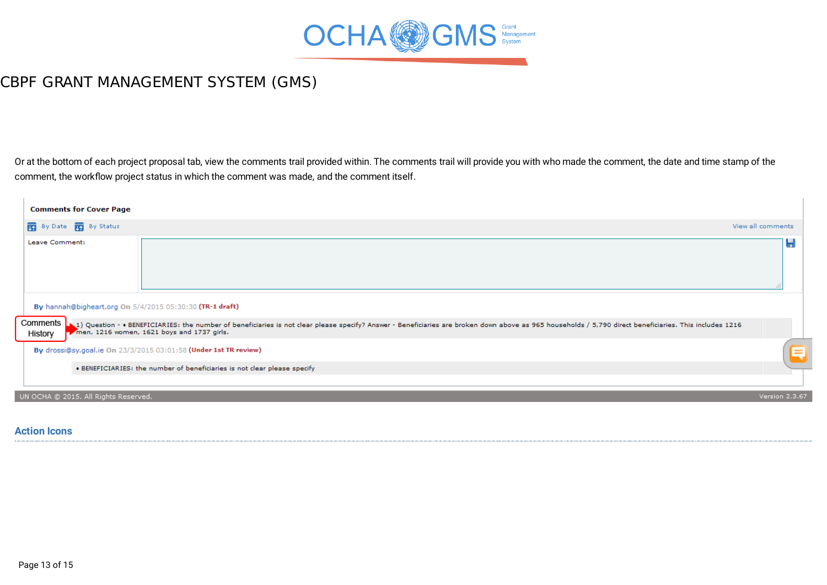

Or at the bottom of each project proposal tab, view the comments trail provided within. The comments trail will provide you with who made the comment, the date and time stamp of the comment, the workflow project status in which the comment was made, and the comment itself.

| <b>Comments for Cover Page</b>                           |                                                                                                                                                                                                                                                             |                   |
|----------------------------------------------------------|-------------------------------------------------------------------------------------------------------------------------------------------------------------------------------------------------------------------------------------------------------------|-------------------|
| <b>THE By Date R</b> By Status                           |                                                                                                                                                                                                                                                             | View all comments |
| Leave Comment:                                           |                                                                                                                                                                                                                                                             | Ы                 |
| By hannah@bigheart.org On 5/4/2015 05:30:30 (TR-1 draft) |                                                                                                                                                                                                                                                             |                   |
| Comments<br>History                                      | 1216 2165 Vestion - . BENEFICIARIES: the number of beneficiaries is not clear please specify? Answer - Beneficiaries are broken down above as 965 households / 5,790 direct beneficiaries. This includes 1216<br>men, 1216 women, 1621 boys and 1737 girls. |                   |
|                                                          | By drossi@sy.goal.ie On 23/3/2015 03:01:58 (Under 1st TR review)                                                                                                                                                                                            | Q                 |
|                                                          | . BENEFICIARIES: the number of beneficiaries is not clear please specify                                                                                                                                                                                    |                   |
| UN OCHA @ 2015. All Rights Reserved.                     |                                                                                                                                                                                                                                                             | Version 2.3.67    |

#### <span id="page-12-0"></span>**[Action](#page-0-0) Icons**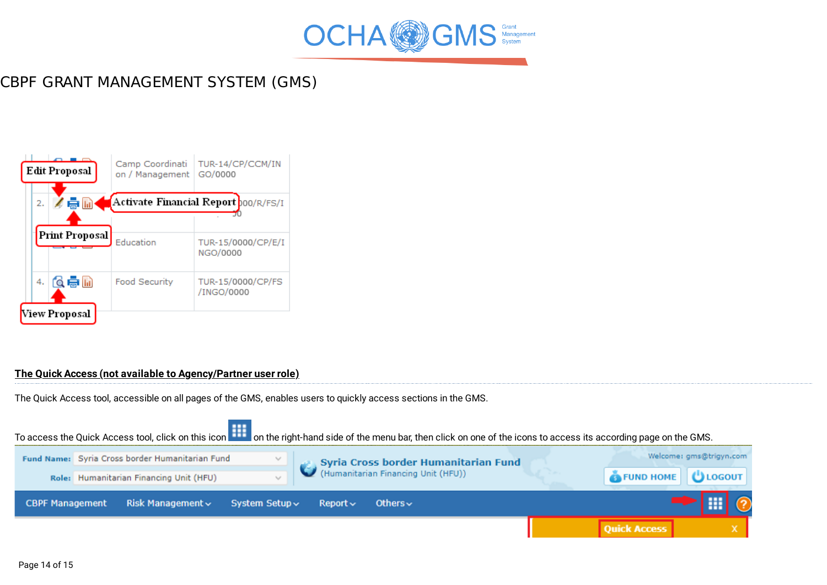



#### <span id="page-13-0"></span>**The Quick Access (not available to [Agency/Partner](#page-0-0) user role)**

The Quick Access tool, accessible on all pages of the GMS, enables users to quickly access sections in the GMS.